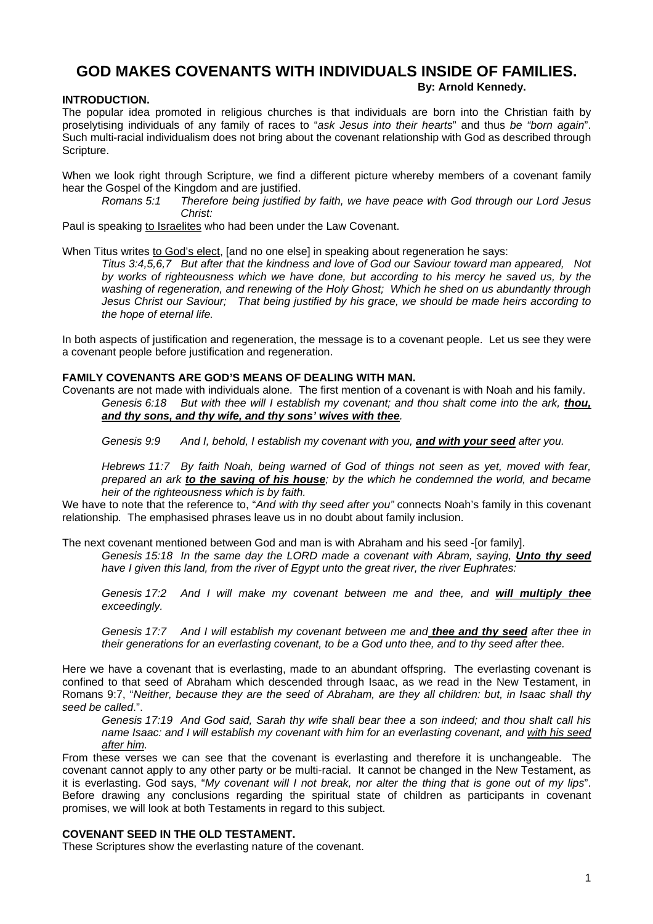# **GOD MAKES COVENANTS WITH INDIVIDUALS INSIDE OF FAMILIES.**

## **INTRODUCTION.**

 **By: Arnold Kennedy.** 

The popular idea promoted in religious churches is that individuals are born into the Christian faith by proselytising individuals of any family of races to "*ask Jesus into their hearts*" and thus *be "born again*". Such multi-racial individualism does not bring about the covenant relationship with God as described through Scripture.

When we look right through Scripture, we find a different picture whereby members of a covenant family hear the Gospel of the Kingdom and are justified.

*Romans 5:1 Therefore being justified by faith, we have peace with God through our Lord Jesus Christ:* 

Paul is speaking to Israelites who had been under the Law Covenant.

When Titus writes to God's elect, [and no one else] in speaking about regeneration he says:

*Titus 3:4,5,6,7 But after that the kindness and love of God our Saviour toward man appeared, Not by works of righteousness which we have done, but according to his mercy he saved us, by the washing of regeneration, and renewing of the Holy Ghost; Which he shed on us abundantly through Jesus Christ our Saviour; That being justified by his grace, we should be made heirs according to the hope of eternal life.* 

In both aspects of justification and regeneration, the message is to a covenant people. Let us see they were a covenant people before justification and regeneration.

#### **FAMILY COVENANTS ARE GOD'S MEANS OF DEALING WITH MAN.**

Covenants are not made with individuals alone. The first mention of a covenant is with Noah and his family. *Genesis 6:18 But with thee will I establish my covenant; and thou shalt come into the ark, thou, and thy sons, and thy wife, and thy sons' wives with thee.* 

*Genesis 9:9 And I, behold, I establish my covenant with you, and with your seed after you.* 

*Hebrews 11:7 By faith Noah, being warned of God of things not seen as yet, moved with fear, prepared an ark to the saving of his house; by the which he condemned the world, and became heir of the righteousness which is by faith.* 

We have to note that the reference to, "*And with thy seed after you"* connects Noah's family in this covenant relationship*.* The emphasised phrases leave us in no doubt about family inclusion.

The next covenant mentioned between God and man is with Abraham and his seed -[or family].

Genesis 15:18 In the same day the LORD made a covenant with Abram, saying, **Unto thy seed** *have I given this land, from the river of Egypt unto the great river, the river Euphrates:* 

*Genesis 17:2 And I will make my covenant between me and thee, and will multiply thee exceedingly.* 

*Genesis 17:7 And I will establish my covenant between me and thee and thy seed after thee in their generations for an everlasting covenant, to be a God unto thee, and to thy seed after thee.* 

Here we have a covenant that is everlasting, made to an abundant offspring. The everlasting covenant is confined to that seed of Abraham which descended through Isaac, as we read in the New Testament, in Romans 9:7, "*Neither, because they are the seed of Abraham, are they all children: but, in Isaac shall thy seed be called*.".

*Genesis 17:19 And God said, Sarah thy wife shall bear thee a son indeed; and thou shalt call his name Isaac: and I will establish my covenant with him for an everlasting covenant, and with his seed after him.* 

From these verses we can see that the covenant is everlasting and therefore it is unchangeable. The covenant cannot apply to any other party or be multi-racial. It cannot be changed in the New Testament, as it is everlasting. God says, "*My covenant will I not break, nor alter the thing that is gone out of my lips*". Before drawing any conclusions regarding the spiritual state of children as participants in covenant promises, we will look at both Testaments in regard to this subject.

## **COVENANT SEED IN THE OLD TESTAMENT.**

These Scriptures show the everlasting nature of the covenant.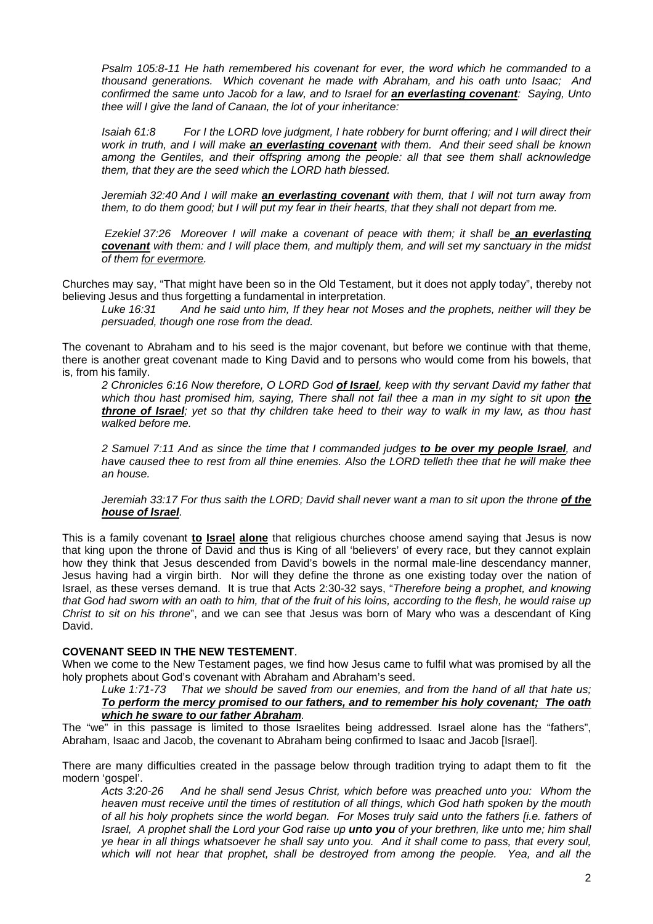*Psalm 105:8-11 He hath remembered his covenant for ever, the word which he commanded to a thousand generations. Which covenant he made with Abraham, and his oath unto Isaac; And confirmed the same unto Jacob for a law, and to Israel for an everlasting covenant: Saying, Unto thee will I give the land of Canaan, the lot of your inheritance:* 

*Isaiah 61:8 For I the LORD love judgment, I hate robbery for burnt offering; and I will direct their work in truth, and I will make an everlasting covenant with them. And their seed shall be known among the Gentiles, and their offspring among the people: all that see them shall acknowledge them, that they are the seed which the LORD hath blessed.* 

*Jeremiah 32:40 And I will make an everlasting covenant with them, that I will not turn away from them, to do them good; but I will put my fear in their hearts, that they shall not depart from me.* 

*Ezekiel 37:26 Moreover I will make a covenant of peace with them; it shall be an everlasting covenant with them: and I will place them, and multiply them, and will set my sanctuary in the midst of them for evermore.* 

Churches may say, "That might have been so in the Old Testament, but it does not apply today", thereby not believing Jesus and thus forgetting a fundamental in interpretation.

*Luke 16:31 And he said unto him, If they hear not Moses and the prophets, neither will they be persuaded, though one rose from the dead.* 

The covenant to Abraham and to his seed is the major covenant, but before we continue with that theme, there is another great covenant made to King David and to persons who would come from his bowels, that is, from his family.

*2 Chronicles 6:16 Now therefore, O LORD God of Israel, keep with thy servant David my father that*  which thou hast promised him, saying, There shall not fail thee a man in my sight to sit upon the *throne of Israel; yet so that thy children take heed to their way to walk in my law, as thou hast walked before me.* 

*2 Samuel 7:11 And as since the time that I commanded judges to be over my people Israel, and*  have caused thee to rest from all thine enemies. Also the LORD telleth thee that he will make thee *an house.* 

*Jeremiah 33:17 For thus saith the LORD; David shall never want a man to sit upon the throne of the house of Israel.* 

This is a family covenant **to Israel alone** that religious churches choose amend saying that Jesus is now that king upon the throne of David and thus is King of all 'believers' of every race, but they cannot explain how they think that Jesus descended from David's bowels in the normal male-line descendancy manner, Jesus having had a virgin birth. Nor will they define the throne as one existing today over the nation of Israel, as these verses demand. It is true that Acts 2:30-32 says, "*Therefore being a prophet, and knowing that God had sworn with an oath to him, that of the fruit of his loins, according to the flesh, he would raise up Christ to sit on his throne*", and we can see that Jesus was born of Mary who was a descendant of King David.

# **COVENANT SEED IN THE NEW TESTEMENT**.

When we come to the New Testament pages, we find how Jesus came to fulfil what was promised by all the holy prophets about God's covenant with Abraham and Abraham's seed.

*Luke 1:71-73 That we should be saved from our enemies, and from the hand of all that hate us; To perform the mercy promised to our fathers, and to remember his holy covenant; The oath which he sware to our father Abraham.* 

The "we" in this passage is limited to those Israelites being addressed. Israel alone has the "fathers", Abraham, Isaac and Jacob, the covenant to Abraham being confirmed to Isaac and Jacob [Israel].

There are many difficulties created in the passage below through tradition trying to adapt them to fit the modern 'gospel'.

*Acts 3:20-26 And he shall send Jesus Christ, which before was preached unto you: Whom the heaven must receive until the times of restitution of all things, which God hath spoken by the mouth of all his holy prophets since the world began. For Moses truly said unto the fathers [i.e. fathers of Israel, A prophet shall the Lord your God raise up unto you of your brethren, like unto me; him shall ye hear in all things whatsoever he shall say unto you. And it shall come to pass, that every soul, which will not hear that prophet, shall be destroyed from among the people. Yea, and all the*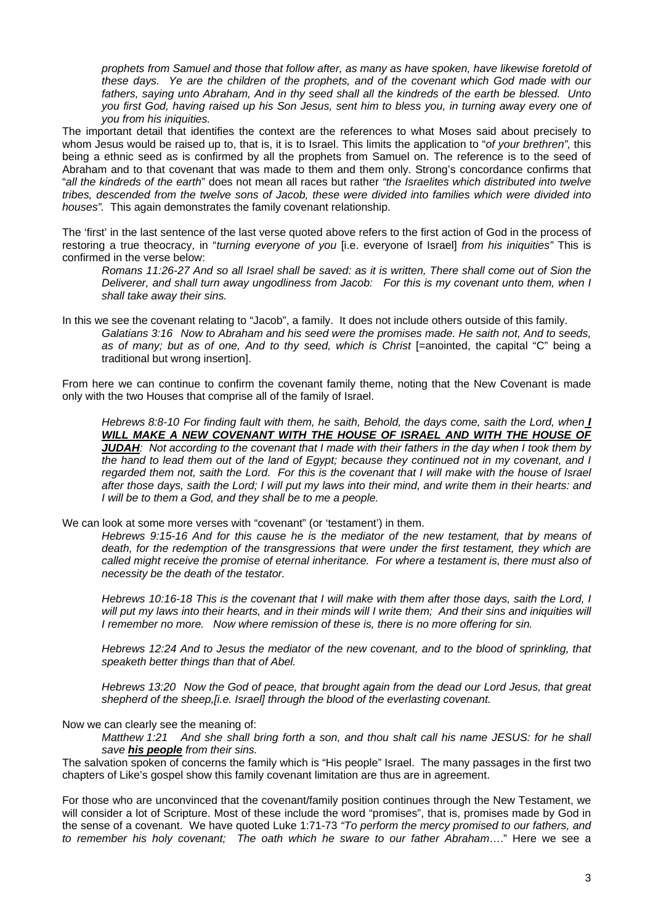*prophets from Samuel and those that follow after, as many as have spoken, have likewise foretold of these days. Ye are the children of the prophets, and of the covenant which God made with our fathers, saying unto Abraham, And in thy seed shall all the kindreds of the earth be blessed. Unto you first God, having raised up his Son Jesus, sent him to bless you, in turning away every one of you from his iniquities.* 

The important detail that identifies the context are the references to what Moses said about precisely to whom Jesus would be raised up to, that is, it is to Israel. This limits the application to "*of your brethren",* this being a ethnic seed as is confirmed by all the prophets from Samuel on. The reference is to the seed of Abraham and to that covenant that was made to them and them only. Strong's concordance confirms that "*all the kindreds of the earth*" does not mean all races but rather *"the Israelites which distributed into twelve tribes, descended from the twelve sons of Jacob, these were divided into families which were divided into houses".* This again demonstrates the family covenant relationship.

The 'first' in the last sentence of the last verse quoted above refers to the first action of God in the process of restoring a true theocracy, in "*turning everyone of you* [i.e. everyone of Israel] *from his iniquities"* This is confirmed in the verse below:

*Romans 11:26-27 And so all Israel shall be saved: as it is written, There shall come out of Sion the Deliverer, and shall turn away ungodliness from Jacob: For this is my covenant unto them, when I shall take away their sins.* 

In this we see the covenant relating to "Jacob", a family. It does not include others outside of this family. *Galatians 3:16 Now to Abraham and his seed were the promises made. He saith not, And to seeds,*  as of many; but as of one, And to thy seed, which is Christ [=anointed, the capital "C" being a traditional but wrong insertion].

From here we can continue to confirm the covenant family theme, noting that the New Covenant is made only with the two Houses that comprise all of the family of Israel.

*Hebrews 8:8-10 For finding fault with them, he saith, Behold, the days come, saith the Lord, when I*  WILL MAKE A NEW COVENANT WITH THE HOUSE OF ISRAEL AND WITH THE HOUSE OF *JUDAH: Not according to the covenant that I made with their fathers in the day when I took them by the hand to lead them out of the land of Egypt; because they continued not in my covenant, and I regarded them not, saith the Lord. For this is the covenant that I will make with the house of Israel after those days, saith the Lord; I will put my laws into their mind, and write them in their hearts: and I will be to them a God, and they shall be to me a people.* 

We can look at some more verses with "covenant" (or 'testament') in them.

*Hebrews 9:15-16 And for this cause he is the mediator of the new testament, that by means of death, for the redemption of the transgressions that were under the first testament, they which are called might receive the promise of eternal inheritance. For where a testament is, there must also of necessity be the death of the testator.* 

*Hebrews 10:16-18 This is the covenant that I will make with them after those days, saith the Lord, I*  will put my laws into their hearts, and in their minds will I write them; And their sins and iniquities will *I remember no more. Now where remission of these is, there is no more offering for sin.* 

*Hebrews 12:24 And to Jesus the mediator of the new covenant, and to the blood of sprinkling, that speaketh better things than that of Abel.* 

*Hebrews 13:20 Now the God of peace, that brought again from the dead our Lord Jesus, that great shepherd of the sheep,[i.e. Israel] through the blood of the everlasting covenant.* 

Now we can clearly see the meaning of:

*Matthew 1:21 And she shall bring forth a son, and thou shalt call his name JESUS: for he shall save his people from their sins.* 

The salvation spoken of concerns the family which is "His people" Israel. The many passages in the first two chapters of Like's gospel show this family covenant limitation are thus are in agreement.

For those who are unconvinced that the covenant/family position continues through the New Testament, we will consider a lot of Scripture. Most of these include the word "promises", that is, promises made by God in the sense of a covenant. We have quoted Luke 1:71-73 *"To perform the mercy promised to our fathers, and to remember his holy covenant; The oath which he sware to our father Abraham*…." Here we see a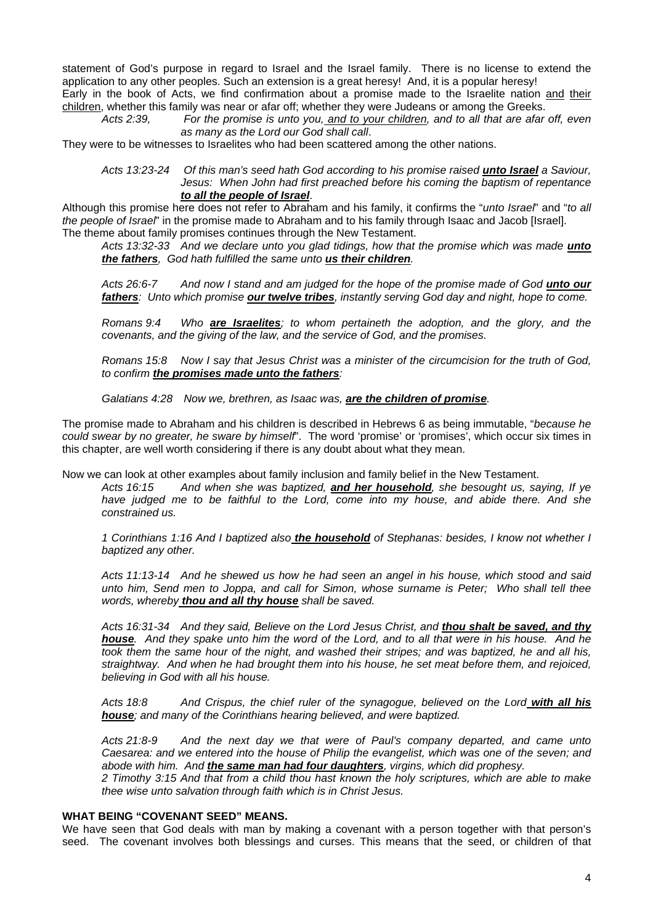statement of God's purpose in regard to Israel and the Israel family. There is no license to extend the application to any other peoples. Such an extension is a great heresy! And, it is a popular heresy!

Early in the book of Acts, we find confirmation about a promise made to the Israelite nation and their children, whether this family was near or afar off; whether they were Judeans or among the Greeks.

*Acts 2:39, For the promise is unto you, and to your children, and to all that are afar off, even as many as the Lord our God shall call*.

They were to be witnesses to Israelites who had been scattered among the other nations.

*Acts 13:23-24 Of this man's seed hath God according to his promise raised unto Israel a Saviour, Jesus: When John had first preached before his coming the baptism of repentance to all the people of Israel*.

Although this promise here does not refer to Abraham and his family, it confirms the "*unto Israel*" and "*to all the people of Israel*" in the promise made to Abraham and to his family through Isaac and Jacob [Israel]. The theme about family promises continues through the New Testament.

*Acts 13:32-33 And we declare unto you glad tidings, how that the promise which was made unto the fathers, God hath fulfilled the same unto us their children.* 

*Acts 26:6-7 And now I stand and am judged for the hope of the promise made of God unto our fathers: Unto which promise our twelve tribes, instantly serving God day and night, hope to come.* 

*Romans 9:4 Who are Israelites; to whom pertaineth the adoption, and the glory, and the covenants, and the giving of the law, and the service of God, and the promises.* 

*Romans 15:8 Now I say that Jesus Christ was a minister of the circumcision for the truth of God, to confirm the promises made unto the fathers:* 

*Galatians 4:28 Now we, brethren, as Isaac was, are the children of promise.* 

The promise made to Abraham and his children is described in Hebrews 6 as being immutable, "*because he could swear by no greater, he sware by himself*". The word 'promise' or 'promises', which occur six times in this chapter, are well worth considering if there is any doubt about what they mean.

Now we can look at other examples about family inclusion and family belief in the New Testament.

*Acts 16:15 And when she was baptized, and her household, she besought us, saying, If ye have judged me to be faithful to the Lord, come into my house, and abide there. And she constrained us.* 

*1 Corinthians 1:16 And I baptized also the household of Stephanas: besides, I know not whether I baptized any other.* 

*Acts 11:13-14 And he shewed us how he had seen an angel in his house, which stood and said unto him, Send men to Joppa, and call for Simon, whose surname is Peter; Who shall tell thee words, whereby thou and all thy house shall be saved.* 

*Acts 16:31-34 And they said, Believe on the Lord Jesus Christ, and thou shalt be saved, and thy house. And they spake unto him the word of the Lord, and to all that were in his house. And he took them the same hour of the night, and washed their stripes; and was baptized, he and all his, straightway. And when he had brought them into his house, he set meat before them, and rejoiced, believing in God with all his house.* 

*Acts 18:8 And Crispus, the chief ruler of the synagogue, believed on the Lord with all his house; and many of the Corinthians hearing believed, and were baptized.* 

*Acts 21:8-9 And the next day we that were of Paul's company departed, and came unto Caesarea: and we entered into the house of Philip the evangelist, which was one of the seven; and abode with him. And the same man had four daughters, virgins, which did prophesy.* 

*2 Timothy 3:15 And that from a child thou hast known the holy scriptures, which are able to make thee wise unto salvation through faith which is in Christ Jesus.*

### **WHAT BEING "COVENANT SEED" MEANS.**

We have seen that God deals with man by making a covenant with a person together with that person's seed. The covenant involves both blessings and curses. This means that the seed, or children of that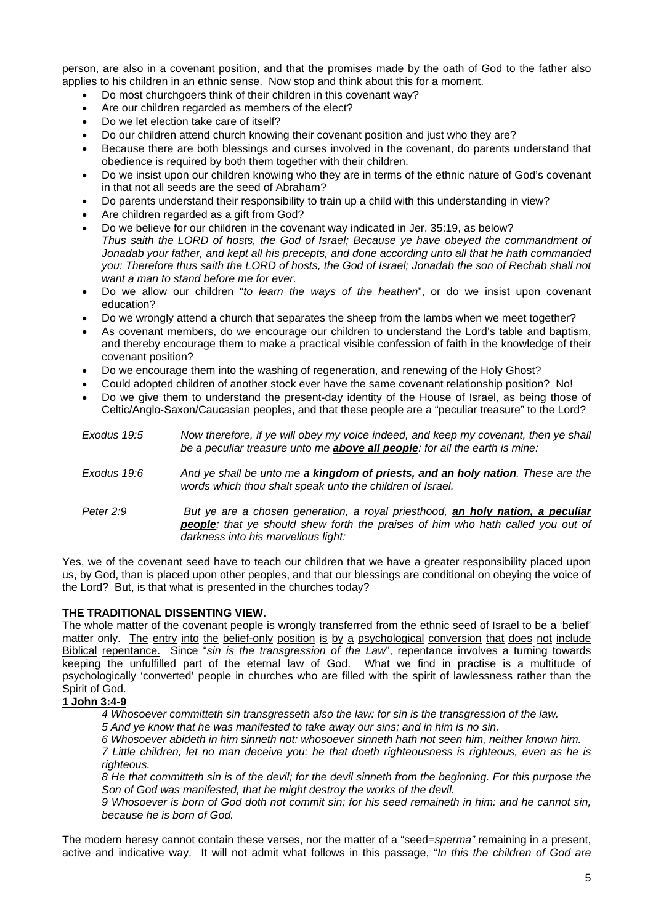person, are also in a covenant position, and that the promises made by the oath of God to the father also applies to his children in an ethnic sense. Now stop and think about this for a moment.

- Do most churchgoers think of their children in this covenant way?
- Are our children regarded as members of the elect?
- Do we let election take care of itself?
- Do our children attend church knowing their covenant position and just who they are?
- Because there are both blessings and curses involved in the covenant, do parents understand that obedience is required by both them together with their children.
- Do we insist upon our children knowing who they are in terms of the ethnic nature of God's covenant in that not all seeds are the seed of Abraham?
- Do parents understand their responsibility to train up a child with this understanding in view?
- Are children regarded as a gift from God?
- Do we believe for our children in the covenant way indicated in Jer. 35:19, as below? *Thus saith the LORD of hosts, the God of Israel; Because ye have obeyed the commandment of Jonadab your father, and kept all his precepts, and done according unto all that he hath commanded you: Therefore thus saith the LORD of hosts, the God of Israel; Jonadab the son of Rechab shall not want a man to stand before me for ever.*
- Do we allow our children "*to learn the ways of the heathen*", or do we insist upon covenant education?
- Do we wrongly attend a church that separates the sheep from the lambs when we meet together?
- As covenant members, do we encourage our children to understand the Lord's table and baptism, and thereby encourage them to make a practical visible confession of faith in the knowledge of their covenant position?
- Do we encourage them into the washing of regeneration, and renewing of the Holy Ghost?
- Could adopted children of another stock ever have the same covenant relationship position? No!
- Do we give them to understand the present-day identity of the House of Israel, as being those of Celtic/Anglo-Saxon/Caucasian peoples, and that these people are a "peculiar treasure" to the Lord?

| Exodus 19:5 | Now therefore, if ye will obey my voice indeed, and keep my covenant, then ye shall<br>be a peculiar treasure unto me <b>above all people</b> : for all the earth is mine:                               |
|-------------|----------------------------------------------------------------------------------------------------------------------------------------------------------------------------------------------------------|
| Exodus 19:6 | And ye shall be unto me a kingdom of priests, and an holy nation. These are the<br>words which thou shalt speak unto the children of Israel.                                                             |
| Peter $2:9$ | But ye are a chosen generation, a royal priesthood, an holy nation, a peculiar<br>people; that ye should shew forth the praises of him who hath called you out of<br>darkness into his marvellous light: |

Yes, we of the covenant seed have to teach our children that we have a greater responsibility placed upon us, by God, than is placed upon other peoples, and that our blessings are conditional on obeying the voice of the Lord? But, is that what is presented in the churches today?

## **THE TRADITIONAL DISSENTING VIEW.**

The whole matter of the covenant people is wrongly transferred from the ethnic seed of Israel to be a 'belief' matter only. The entry into the belief-only position is by a psychological conversion that does not include Biblical repentance. Since "*sin is the transgression of the Law*", repentance involves a turning towards keeping the unfulfilled part of the eternal law of God. What we find in practise is a multitude of psychologically 'converted' people in churches who are filled with the spirit of lawlessness rather than the Spirit of God.

## **1 John 3:4-9**

*4 Whosoever committeth sin transgresseth also the law: for sin is the transgression of the law.* 

*5 And ye know that he was manifested to take away our sins; and in him is no sin.* 

*6 Whosoever abideth in him sinneth not: whosoever sinneth hath not seen him, neither known him.* 

*7 Little children, let no man deceive you: he that doeth righteousness is righteous, even as he is righteous.* 

*8 He that committeth sin is of the devil; for the devil sinneth from the beginning. For this purpose the Son of God was manifested, that he might destroy the works of the devil.* 

*9 Whosoever is born of God doth not commit sin; for his seed remaineth in him: and he cannot sin, because he is born of God.* 

The modern heresy cannot contain these verses, nor the matter of a "seed=*sperma"* remaining in a present, active and indicative way. It will not admit what follows in this passage, "*In this the children of God are*